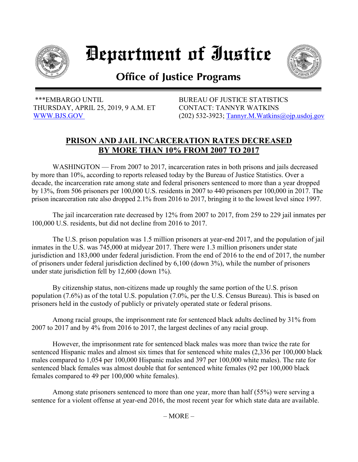

## Department of Iustice



## **Office of Justice Programs**

 \*\*\*EMBARGO UNTIL BUREAU OF JUSTICE STATISTICS THURSDAY, APRIL 25, 2019, 9 A.M. ET CONTACT: TANNYR WATKINS

[WWW.BJS.GOV](https://www.bjs.gov/) (202) 532-3923; [Tannyr.M.Watkins@ojp.usdoj.gov](mailto:Tannyr.M.Watkins@ojp.usdoj.gov)

## **PRISON AND JAIL INCARCERATION RATES DECREASED BY MORE THAN 10% FROM 2007 TO 2017**

WASHINGTON — From 2007 to 2017, incarceration rates in both prisons and jails decreased by more than 10%, according to reports released today by the Bureau of Justice Statistics. Over a decade, the incarceration rate among state and federal prisoners sentenced to more than a year dropped by 13%, from 506 prisoners per 100,000 U.S. residents in 2007 to 440 prisoners per 100,000 in 2017. The prison incarceration rate also dropped 2.1% from 2016 to 2017, bringing it to the lowest level since 1997.

The jail incarceration rate decreased by 12% from 2007 to 2017, from 259 to 229 jail inmates per 100,000 U.S. residents, but did not decline from 2016 to 2017.

The U.S. prison population was 1.5 million prisoners at year-end 2017, and the population of jail inmates in the U.S. was 745,000 at midyear 2017. There were 1.3 million prisoners under state jurisdiction and 183,000 under federal jurisdiction. From the end of 2016 to the end of 2017, the number of prisoners under federal jurisdiction declined by 6,100 (down 3%), while the number of prisoners under state jurisdiction fell by 12,600 (down 1%).

By citizenship status, non-citizens made up roughly the same portion of the U.S. prison population (7.6%) as of the total U.S. population (7.0%, per the U.S. Census Bureau). This is based on prisoners held in the custody of publicly or privately operated state or federal prisons.

Among racial groups, the imprisonment rate for sentenced black adults declined by 31% from 2007 to 2017 and by 4% from 2016 to 2017, the largest declines of any racial group.

However, the imprisonment rate for sentenced black males was more than twice the rate for sentenced Hispanic males and almost six times that for sentenced white males (2,336 per 100,000 black males compared to 1,054 per 100,000 Hispanic males and 397 per 100,000 white males). The rate for sentenced black females was almost double that for sentenced white females (92 per 100,000 black females compared to 49 per 100,000 white females).

Among state prisoners sentenced to more than one year, more than half (55%) were serving a sentence for a violent offense at year-end 2016, the most recent year for which state data are available.